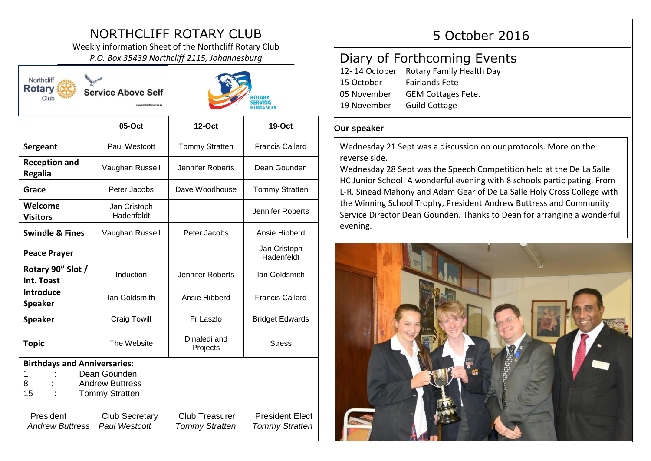# NORTHCLIFF ROTARY CLUB 5 October 2016

Weekly information Sheet of the Northcliff Rotary Club *P.O. Box 35439 Northcliff 2115, Johannesburg*

| Northcliff<br><b>Rotary</b><br><b>Service Above Self</b><br>Club                                                                                                                                                |                            | ROTARY<br><b>SERVING</b><br>HUMANITY |                            |
|-----------------------------------------------------------------------------------------------------------------------------------------------------------------------------------------------------------------|----------------------------|--------------------------------------|----------------------------|
|                                                                                                                                                                                                                 | 05-Oct                     | <b>12-Oct</b>                        | 19-Oct                     |
| Sergeant                                                                                                                                                                                                        | Paul Westcott              | <b>Tommy Stratten</b>                | <b>Francis Callard</b>     |
| <b>Reception and</b><br><b>Regalia</b>                                                                                                                                                                          | Vaughan Russell            | <b>Jennifer Roberts</b>              | Dean Gounden               |
| Grace                                                                                                                                                                                                           | Peter Jacobs               | Dave Woodhouse                       | <b>Tommy Stratten</b>      |
| Welcome<br><b>Visitors</b>                                                                                                                                                                                      | Jan Cristoph<br>Hadenfeldt |                                      | <b>Jennifer Roberts</b>    |
| <b>Swindle &amp; Fines</b>                                                                                                                                                                                      | Vaughan Russell            | Peter Jacobs                         | Ansie Hibberd              |
| <b>Peace Prayer</b>                                                                                                                                                                                             |                            |                                      | Jan Cristoph<br>Hadenfeldt |
| Rotary 90" Slot /<br>Int. Toast                                                                                                                                                                                 | Induction                  | Jennifer Roberts                     | lan Goldsmith              |
| <b>Introduce</b><br><b>Speaker</b>                                                                                                                                                                              | lan Goldsmith              | Ansie Hibberd                        | <b>Francis Callard</b>     |
| <b>Speaker</b>                                                                                                                                                                                                  | <b>Craig Towill</b>        | Fr Laszlo                            | <b>Bridget Edwards</b>     |
| <b>Topic</b>                                                                                                                                                                                                    | The Website                | Dinaledi and<br>Projects             | <b>Stress</b>              |
| <b>Birthdays and Anniversaries:</b><br>Dean Gounden<br>1<br><b>Andrew Buttress</b><br>8<br>15<br><b>Tommy Stratten</b><br><b>Club Treasurer</b><br><b>President Elect</b><br>President<br><b>Club Secretary</b> |                            |                                      |                            |
| <b>Andrew Buttress</b>                                                                                                                                                                                          | <b>Paul Westcott</b>       | <b>Tommy Stratten</b>                | <b>Tommy Stratten</b>      |

# Diary of Forthcoming Events 12- 14 October Rotary Family Health Day 15 October Fairlands Fete 05 November GEM Cottages Fete. 19 November Guild Cottage

## **Our speaker**

Wednesday 21 Sept was a discussion on our protocols. More on the reverse side.

Wednesday 28 Sept was the Speech Competition held at the De La Salle HC Junior School. A wonderful evening with 8 schools participating. From L-R. Sinead Mahony and Adam Gear of De La Salle Holy Cross College with the Winning School Trophy, President Andrew Buttress and Community Service Director Dean Gounden. Thanks to Dean for arranging a wonderful evening.